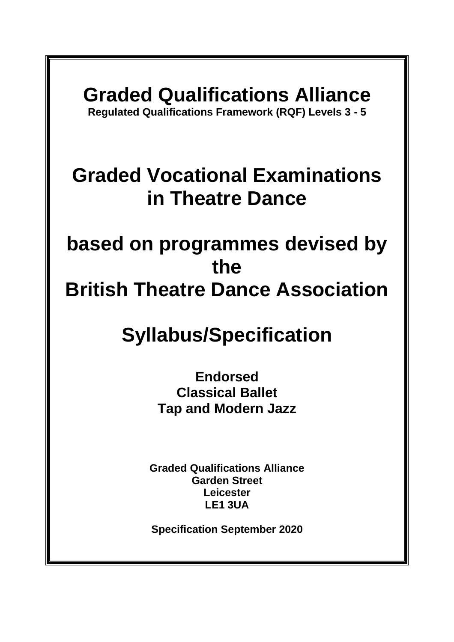# **Graded Qualifications Alliance**

**Regulated Qualifications Framework (RQF) Levels 3 - 5**

## **Graded Vocational Examinations in Theatre Dance**

## **based on programmes devised by the British Theatre Dance Association**

# **Syllabus/Specification**

**Endorsed Classical Ballet Tap and Modern Jazz**

**Graded Qualifications Alliance Garden Street Leicester LE1 3UA** 

**Specification September 2020**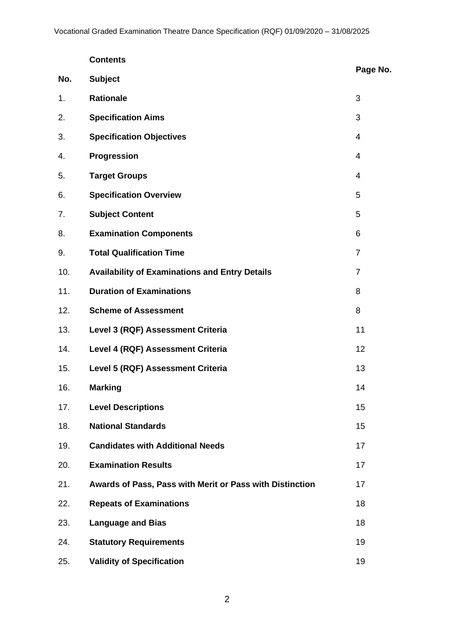|     | <b>Contents</b>                                          |                |
|-----|----------------------------------------------------------|----------------|
| No. | <b>Subject</b>                                           | Page No.       |
| 1.  | <b>Rationale</b>                                         | 3              |
| 2.  | <b>Specification Aims</b>                                | 3              |
| 3.  | <b>Specification Objectives</b>                          | $\overline{4}$ |
| 4.  | Progression                                              | $\overline{4}$ |
| 5.  | <b>Target Groups</b>                                     | $\overline{4}$ |
| 6.  | <b>Specification Overview</b>                            | 5              |
| 7.  | <b>Subject Content</b>                                   | 5              |
| 8.  | <b>Examination Components</b>                            | 6              |
| 9.  | <b>Total Qualification Time</b>                          | $\overline{7}$ |
| 10. | <b>Availability of Examinations and Entry Details</b>    | $\overline{7}$ |
| 11. | <b>Duration of Examinations</b>                          | 8              |
| 12. | <b>Scheme of Assessment</b>                              | 8              |
| 13. | Level 3 (RQF) Assessment Criteria                        | 11             |
| 14. | Level 4 (RQF) Assessment Criteria                        | 12             |
| 15. | Level 5 (RQF) Assessment Criteria                        | 13             |
| 16. | <b>Marking</b>                                           | 14             |
| 17. | <b>Level Descriptions</b>                                | 15             |
| 18. | <b>National Standards</b>                                | 15             |
| 19. | <b>Candidates with Additional Needs</b>                  | 17             |
| 20. | <b>Examination Results</b>                               | 17             |
| 21. | Awards of Pass, Pass with Merit or Pass with Distinction | 17             |
| 22. | <b>Repeats of Examinations</b>                           | 18             |
| 23. | <b>Language and Bias</b>                                 | 18             |
| 24. | <b>Statutory Requirements</b>                            | 19             |
| 25. | <b>Validity of Specification</b>                         | 19             |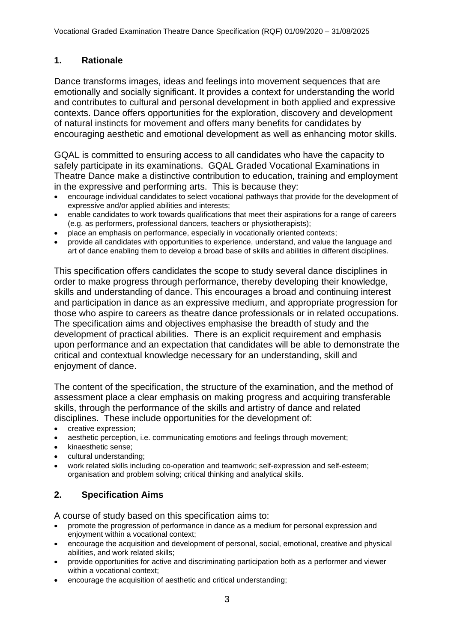## **1. Rationale**

Dance transforms images, ideas and feelings into movement sequences that are emotionally and socially significant. It provides a context for understanding the world and contributes to cultural and personal development in both applied and expressive contexts. Dance offers opportunities for the exploration, discovery and development of natural instincts for movement and offers many benefits for candidates by encouraging aesthetic and emotional development as well as enhancing motor skills.

GQAL is committed to ensuring access to all candidates who have the capacity to safely participate in its examinations. GQAL Graded Vocational Examinations in Theatre Dance make a distinctive contribution to education, training and employment in the expressive and performing arts. This is because they:

- encourage individual candidates to select vocational pathways that provide for the development of expressive and/or applied abilities and interests;
- enable candidates to work towards qualifications that meet their aspirations for a range of careers (e.g. as performers, professional dancers, teachers or physiotherapists);
- place an emphasis on performance, especially in vocationally oriented contexts;
- provide all candidates with opportunities to experience, understand, and value the language and art of dance enabling them to develop a broad base of skills and abilities in different disciplines.

This specification offers candidates the scope to study several dance disciplines in order to make progress through performance, thereby developing their knowledge, skills and understanding of dance. This encourages a broad and continuing interest and participation in dance as an expressive medium, and appropriate progression for those who aspire to careers as theatre dance professionals or in related occupations. The specification aims and objectives emphasise the breadth of study and the development of practical abilities. There is an explicit requirement and emphasis upon performance and an expectation that candidates will be able to demonstrate the critical and contextual knowledge necessary for an understanding, skill and enjoyment of dance.

The content of the specification, the structure of the examination, and the method of assessment place a clear emphasis on making progress and acquiring transferable skills, through the performance of the skills and artistry of dance and related disciplines. These include opportunities for the development of:

- creative expression;
- aesthetic perception, i.e. communicating emotions and feelings through movement;
- kinaesthetic sense;
- cultural understanding;
- work related skills including co-operation and teamwork; self-expression and self-esteem; organisation and problem solving; critical thinking and analytical skills.

## **2. Specification Aims**

A course of study based on this specification aims to:

- promote the progression of performance in dance as a medium for personal expression and enjoyment within a vocational context;
- encourage the acquisition and development of personal, social, emotional, creative and physical abilities, and work related skills;
- provide opportunities for active and discriminating participation both as a performer and viewer within a vocational context;
- encourage the acquisition of aesthetic and critical understanding;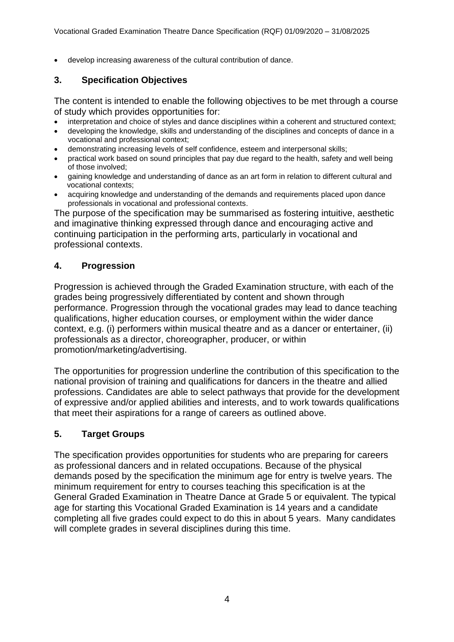• develop increasing awareness of the cultural contribution of dance.

#### **3. Specification Objectives**

The content is intended to enable the following objectives to be met through a course of study which provides opportunities for:

- interpretation and choice of styles and dance disciplines within a coherent and structured context;
- developing the knowledge, skills and understanding of the disciplines and concepts of dance in a vocational and professional context;
- demonstrating increasing levels of self confidence, esteem and interpersonal skills;
- practical work based on sound principles that pay due regard to the health, safety and well being of those involved;
- gaining knowledge and understanding of dance as an art form in relation to different cultural and vocational contexts;
- acquiring knowledge and understanding of the demands and requirements placed upon dance professionals in vocational and professional contexts.

The purpose of the specification may be summarised as fostering intuitive, aesthetic and imaginative thinking expressed through dance and encouraging active and continuing participation in the performing arts, particularly in vocational and professional contexts.

#### **4. Progression**

Progression is achieved through the Graded Examination structure, with each of the grades being progressively differentiated by content and shown through performance. Progression through the vocational grades may lead to dance teaching qualifications, higher education courses, or employment within the wider dance context, e.g. (i) performers within musical theatre and as a dancer or entertainer, (ii) professionals as a director, choreographer, producer, or within promotion/marketing/advertising.

The opportunities for progression underline the contribution of this specification to the national provision of training and qualifications for dancers in the theatre and allied professions. Candidates are able to select pathways that provide for the development of expressive and/or applied abilities and interests, and to work towards qualifications that meet their aspirations for a range of careers as outlined above.

#### **5. Target Groups**

The specification provides opportunities for students who are preparing for careers as professional dancers and in related occupations. Because of the physical demands posed by the specification the minimum age for entry is twelve years. The minimum requirement for entry to courses teaching this specification is at the General Graded Examination in Theatre Dance at Grade 5 or equivalent. The typical age for starting this Vocational Graded Examination is 14 years and a candidate completing all five grades could expect to do this in about 5 years. Many candidates will complete grades in several disciplines during this time.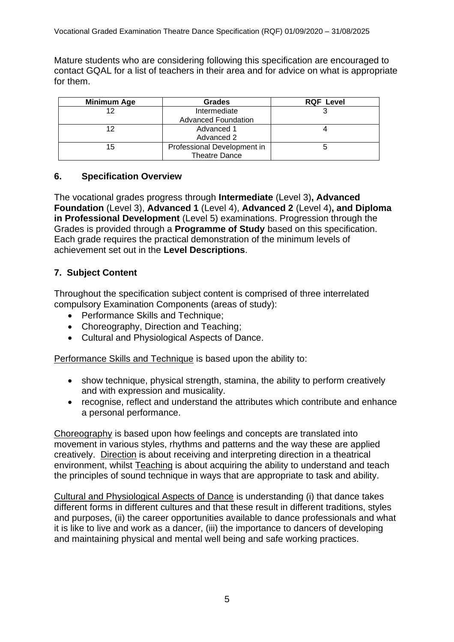Mature students who are considering following this specification are encouraged to contact GQAL for a list of teachers in their area and for advice on what is appropriate for them.

| Minimum Age | <b>Grades</b>               | <b>RQF Level</b> |
|-------------|-----------------------------|------------------|
| 12          | Intermediate                |                  |
|             | <b>Advanced Foundation</b>  |                  |
| 12          | Advanced 1                  |                  |
|             | Advanced 2                  |                  |
| 15          | Professional Development in |                  |
|             | <b>Theatre Dance</b>        |                  |

## **6. Specification Overview**

The vocational grades progress through **Intermediate** (Level 3)**, Advanced Foundation** (Level 3), **Advanced 1** (Level 4), **Advanced 2** (Level 4)**, and Diploma in Professional Development** (Level 5) examinations. Progression through the Grades is provided through a **Programme of Study** based on this specification. Each grade requires the practical demonstration of the minimum levels of achievement set out in the **Level Descriptions**.

## **7. Subject Content**

Throughout the specification subject content is comprised of three interrelated compulsory Examination Components (areas of study):

- Performance Skills and Technique;
- Choreography, Direction and Teaching;
- Cultural and Physiological Aspects of Dance.

Performance Skills and Technique is based upon the ability to:

- show technique, physical strength, stamina, the ability to perform creatively and with expression and musicality.
- recognise, reflect and understand the attributes which contribute and enhance a personal performance.

Choreography is based upon how feelings and concepts are translated into movement in various styles, rhythms and patterns and the way these are applied creatively. Direction is about receiving and interpreting direction in a theatrical environment, whilst Teaching is about acquiring the ability to understand and teach the principles of sound technique in ways that are appropriate to task and ability.

Cultural and Physiological Aspects of Dance is understanding (i) that dance takes different forms in different cultures and that these result in different traditions, styles and purposes, (ii) the career opportunities available to dance professionals and what it is like to live and work as a dancer, (iii) the importance to dancers of developing and maintaining physical and mental well being and safe working practices.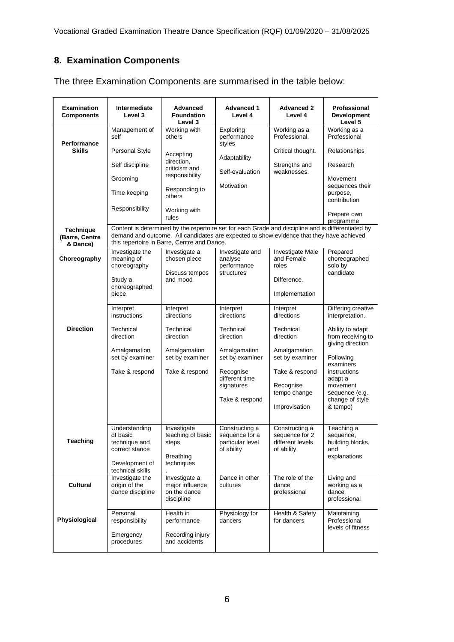## **8. Examination Components**

| <b>Examination</b><br><b>Components</b>        | Intermediate<br>Level 3                                                        | <b>Advanced</b><br><b>Foundation</b><br>Level 3                             | <b>Advanced 1</b><br>Level 4                                                                                                                                                                   | <b>Advanced 2</b><br>Level 4                                       | Professional<br><b>Development</b><br>Level 5                      |
|------------------------------------------------|--------------------------------------------------------------------------------|-----------------------------------------------------------------------------|------------------------------------------------------------------------------------------------------------------------------------------------------------------------------------------------|--------------------------------------------------------------------|--------------------------------------------------------------------|
| Performance                                    | Management of<br>self                                                          | Working with<br>others                                                      | Exploring<br>performance<br>styles                                                                                                                                                             | Working as a<br>Professional.                                      | Working as a<br>Professional                                       |
| <b>Skills</b>                                  | Personal Style                                                                 | Accepting                                                                   |                                                                                                                                                                                                | Critical thought.                                                  | Relationships                                                      |
|                                                | direction,<br>Self discipline<br>criticism and                                 |                                                                             | Adaptability<br>Self-evaluation                                                                                                                                                                | Strengths and<br>weaknesses.                                       | Research                                                           |
|                                                | Grooming                                                                       | responsibility                                                              | Motivation                                                                                                                                                                                     |                                                                    | Movement                                                           |
|                                                | Time keeping                                                                   | Responding to<br>others                                                     |                                                                                                                                                                                                |                                                                    | sequences their<br>purpose,<br>contribution                        |
|                                                | Responsibility                                                                 | Working with<br>rules                                                       |                                                                                                                                                                                                |                                                                    | Prepare own<br>programme                                           |
| <b>Technique</b><br>(Barre, Centre<br>& Dance) |                                                                                | this repertoire in Barre, Centre and Dance.                                 | Content is determined by the repertoire set for each Grade and discipline and is differentiated by<br>demand and outcome. All candidates are expected to show evidence that they have achieved |                                                                    |                                                                    |
| Choreography                                   | Investigate the<br>meaning of<br>choreography                                  | Investigate a<br>chosen piece<br>Discuss tempos                             | Investigate and<br>analyse<br>performance<br>structures                                                                                                                                        | <b>Investigate Male</b><br>and Female<br>roles                     | Prepared<br>choreographed<br>solo by<br>candidate                  |
|                                                | Study a<br>choreographed<br>piece                                              | and mood                                                                    |                                                                                                                                                                                                | Difference.<br>Implementation                                      |                                                                    |
|                                                | Interpret<br>instructions                                                      | Interpret<br>directions                                                     | Interpret<br>directions                                                                                                                                                                        | Interpret<br>directions                                            | Differing creative<br>interpretation.                              |
| <b>Direction</b>                               | Technical<br>direction                                                         | Technical<br>direction                                                      | Technical<br>direction                                                                                                                                                                         | Technical<br>direction                                             | Ability to adapt<br>from receiving to<br>giving direction          |
|                                                | Amalgamation<br>set by examiner                                                | Amalgamation<br>set by examiner                                             | Amalgamation<br>set by examiner                                                                                                                                                                | Amalgamation<br>set by examiner                                    | Following                                                          |
|                                                | Take & respond                                                                 | Take & respond                                                              | Recognise<br>different time                                                                                                                                                                    | Take & respond                                                     | examiners<br>instructions<br>adapt a                               |
|                                                |                                                                                |                                                                             | signatures<br>Take & respond                                                                                                                                                                   | Recognise<br>tempo change                                          | movement<br>sequence (e.g.<br>change of style                      |
|                                                |                                                                                |                                                                             |                                                                                                                                                                                                | Improvisation                                                      | & tempo)                                                           |
| <b>Teaching</b>                                | Understanding<br>of basic<br>technique and<br>correct stance<br>Development of | Investigate<br>teaching of basic<br>steps<br><b>Breathing</b><br>techniques | Constructing a<br>sequence for a<br>particular level<br>of ability                                                                                                                             | Constructing a<br>sequence for 2<br>different levels<br>of ability | Teaching a<br>sequence,<br>building blocks,<br>and<br>explanations |
|                                                | technical skills                                                               |                                                                             |                                                                                                                                                                                                | The role of the                                                    |                                                                    |
| <b>Cultural</b>                                | Investigate the<br>origin of the<br>dance discipline                           | Investigate a<br>major influence<br>on the dance<br>discipline              | Dance in other<br>cultures                                                                                                                                                                     | dance<br>professional                                              | Living and<br>working as a<br>dance<br>professional                |
| Physiological                                  | Personal<br>responsibility<br>Emergency<br>procedures                          | Health in<br>performance<br>Recording injury<br>and accidents               | Physiology for<br>dancers                                                                                                                                                                      | Health & Safety<br>for dancers                                     | Maintaining<br>Professional<br>levels of fitness                   |
|                                                |                                                                                |                                                                             |                                                                                                                                                                                                |                                                                    |                                                                    |

The three Examination Components are summarised in the table below: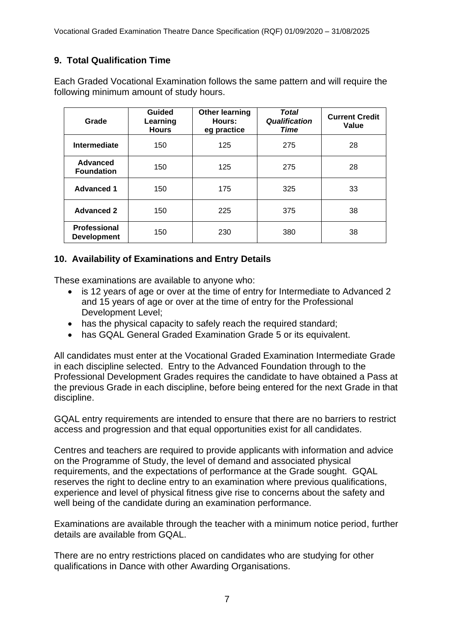## **9. Total Qualification Time**

Each Graded Vocational Examination follows the same pattern and will require the following minimum amount of study hours.

| Grade                                     | <b>Guided</b><br>Learning<br><b>Hours</b> | <b>Other learning</b><br>Hours:<br>eg practice | Total<br><b>Qualification</b><br><b>Time</b> | <b>Current Credit</b><br>Value |
|-------------------------------------------|-------------------------------------------|------------------------------------------------|----------------------------------------------|--------------------------------|
| Intermediate                              | 150                                       | 125                                            | 275                                          | 28                             |
| Advanced<br><b>Foundation</b>             | 150                                       | 125                                            | 275                                          | 28                             |
| <b>Advanced 1</b>                         | 150                                       | 175                                            | 325                                          | 33                             |
| <b>Advanced 2</b>                         | 150                                       | 225                                            | 375                                          | 38                             |
| <b>Professional</b><br><b>Development</b> | 150                                       | 230                                            | 380                                          | 38                             |

## **10. Availability of Examinations and Entry Details**

These examinations are available to anyone who:

- is 12 years of age or over at the time of entry for Intermediate to Advanced 2 and 15 years of age or over at the time of entry for the Professional Development Level;
- has the physical capacity to safely reach the required standard;
- has GQAL General Graded Examination Grade 5 or its equivalent.

All candidates must enter at the Vocational Graded Examination Intermediate Grade in each discipline selected. Entry to the Advanced Foundation through to the Professional Development Grades requires the candidate to have obtained a Pass at the previous Grade in each discipline, before being entered for the next Grade in that discipline.

GQAL entry requirements are intended to ensure that there are no barriers to restrict access and progression and that equal opportunities exist for all candidates.

Centres and teachers are required to provide applicants with information and advice on the Programme of Study, the level of demand and associated physical requirements, and the expectations of performance at the Grade sought. GQAL reserves the right to decline entry to an examination where previous qualifications, experience and level of physical fitness give rise to concerns about the safety and well being of the candidate during an examination performance*.*

Examinations are available through the teacher with a minimum notice period, further details are available from GQAL.

There are no entry restrictions placed on candidates who are studying for other qualifications in Dance with other Awarding Organisations.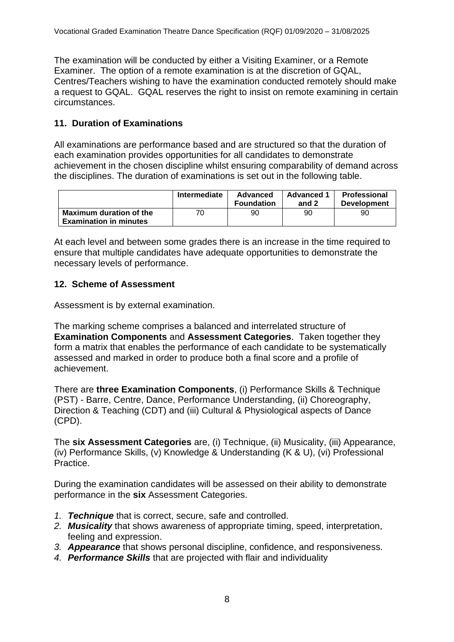The examination will be conducted by either a Visiting Examiner, or a Remote Examiner. The option of a remote examination is at the discretion of GQAL, Centres/Teachers wishing to have the examination conducted remotely should make a request to GQAL. GQAL reserves the right to insist on remote examining in certain circumstances.

## **11. Duration of Examinations**

All examinations are performance based and are structured so that the duration of each examination provides opportunities for all candidates to demonstrate achievement in the chosen discipline whilst ensuring comparability of demand across the disciplines. The duration of examinations is set out in the following table.

|                                                          | Intermediate | Advanced<br><b>Foundation</b> | <b>Advanced 1</b><br>and 2 | <b>Professional</b><br><b>Development</b> |
|----------------------------------------------------------|--------------|-------------------------------|----------------------------|-------------------------------------------|
| Maximum duration of the<br><b>Examination in minutes</b> | 70           | 90                            | 90                         | 90                                        |

At each level and between some grades there is an increase in the time required to ensure that multiple candidates have adequate opportunities to demonstrate the necessary levels of performance.

#### **12. Scheme of Assessment**

Assessment is by external examination.

The marking scheme comprises a balanced and interrelated structure of **Examination Components** and **Assessment Categories**. Taken together they form a matrix that enables the performance of each candidate to be systematically assessed and marked in order to produce both a final score and a profile of achievement.

There are **three Examination Components**, (i) Performance Skills & Technique (PST) - Barre, Centre, Dance, Performance Understanding, (ii) Choreography, Direction & Teaching (CDT) and (iii) Cultural & Physiological aspects of Dance (CPD).

The **six Assessment Categories** are, (i) Technique, (ii) Musicality, (iii) Appearance, (iv) Performance Skills, (v) Knowledge & Understanding (K & U), (vi) Professional Practice.

During the examination candidates will be assessed on their ability to demonstrate performance in the **six** Assessment Categories.

- *1. Technique* that is correct, secure, safe and controlled.
- *2. Musicality* that shows awareness of appropriate timing, speed, interpretation, feeling and expression.
- *3. Appearance* that shows personal discipline, confidence, and responsiveness.
- *4. Performance Skills* that are projected with flair and individuality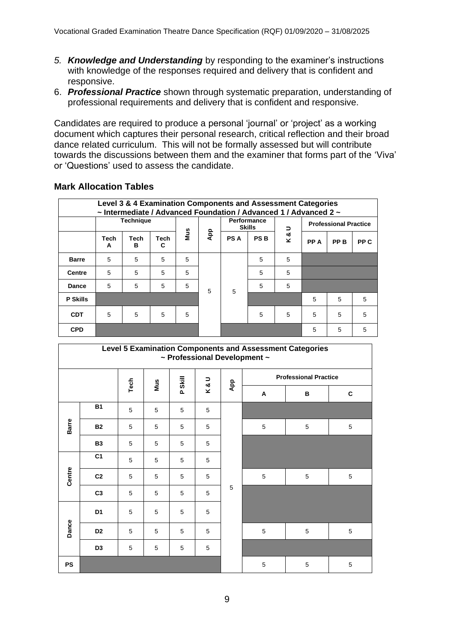- *5. Knowledge and Understanding* by responding to the examiner's instructions with knowledge of the responses required and delivery that is confident and responsive.
- 6. *Professional Practice* shown through systematic preparation, understanding of professional requirements and delivery that is confident and responsive.

Candidates are required to produce a personal 'journal' or 'project' as a working document which captures their personal research, critical reflection and their broad dance related curriculum. This will not be formally assessed but will contribute towards the discussions between them and the examiner that forms part of the 'Viva' or 'Questions' used to assess the candidate.

#### **Mark Allocation Tables**

| Level 3 & 4 Examination Components and Assessment Categories<br>~ Intermediate / Advanced Foundation / Advanced 1 / Advanced 2 ~ |           |                  |           |            |     |            |            |                                     |      |      |                              |  |
|----------------------------------------------------------------------------------------------------------------------------------|-----------|------------------|-----------|------------|-----|------------|------------|-------------------------------------|------|------|------------------------------|--|
|                                                                                                                                  |           | <b>Technique</b> |           |            | App |            |            | <b>Performance</b><br><b>Skills</b> | ∍    |      | <b>Professional Practice</b> |  |
|                                                                                                                                  | Tech<br>A | Tech<br>в        | Tech<br>C | <b>Mus</b> |     | <b>PSA</b> | <b>PSB</b> | &<br>×                              | PP A | PP B | PP C                         |  |
| <b>Barre</b>                                                                                                                     | 5         | 5                | 5         | 5          |     |            | 5          | 5                                   |      |      |                              |  |
| <b>Centre</b>                                                                                                                    | 5         | 5                | 5         | 5          | 5   |            |            | 5                                   | 5    |      |                              |  |
| <b>Dance</b>                                                                                                                     | 5         | 5                | 5         | 5          |     | 5          | 5          | 5                                   |      |      |                              |  |
| <b>P Skills</b>                                                                                                                  |           |                  |           |            |     |            |            |                                     | 5    | 5    | 5                            |  |
| <b>CDT</b>                                                                                                                       | 5         | 5                | 5         | 5          |     |            | 5          | 5                                   | 5    | 5    | 5                            |  |
| <b>CPD</b>                                                                                                                       |           |                  |           |            |     |            |            |                                     | 5    | 5    | 5                            |  |

| Level 5 Examination Components and Assessment Categories<br>~ Professional Development ~ |                |      |     |                |     |     |   |                              |              |
|------------------------------------------------------------------------------------------|----------------|------|-----|----------------|-----|-----|---|------------------------------|--------------|
|                                                                                          |                |      |     |                |     |     |   | <b>Professional Practice</b> |              |
|                                                                                          |                | Tech | Mus | <b>P Skill</b> | K&U | App | Α | B                            | $\mathbf{C}$ |
|                                                                                          | <b>B1</b>      | 5    | 5   | 5              | 5   |     |   |                              |              |
| <b>Barre</b>                                                                             | <b>B2</b>      | 5    | 5   | 5              | 5   |     | 5 | 5                            | 5            |
|                                                                                          | <b>B3</b>      | 5    | 5   | 5              | 5   |     |   |                              |              |
|                                                                                          | C <sub>1</sub> | 5    | 5   | 5              | 5   |     |   |                              |              |
| Centre                                                                                   | C <sub>2</sub> | 5    | 5   | 5              | 5   |     | 5 | 5                            | 5            |
|                                                                                          | C <sub>3</sub> | 5    | 5   | 5              | 5   | 5   |   |                              |              |
|                                                                                          | D <sub>1</sub> | 5    | 5   | 5              | 5   |     |   |                              |              |
| Dance                                                                                    | D <sub>2</sub> | 5    | 5   | 5              | 5   |     | 5 | 5                            | 5            |
|                                                                                          | D <sub>3</sub> | 5    | 5   | 5              | 5   |     |   |                              |              |
| <b>PS</b>                                                                                |                |      |     |                |     |     | 5 | 5                            | 5            |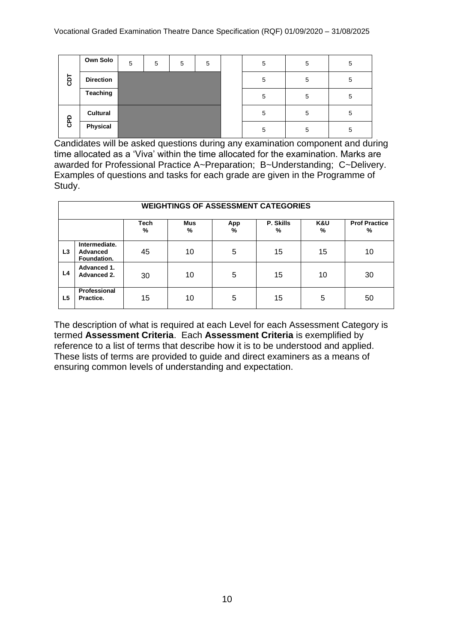|            | Own Solo         | 5 | 5 | 5 | 5 | 5 | 5 | 5 |
|------------|------------------|---|---|---|---|---|---|---|
| <b>GDT</b> | <b>Direction</b> |   |   |   |   | 5 | 5 | 5 |
|            | <b>Teaching</b>  |   |   |   |   | 5 | 5 | 5 |
|            | <b>Cultural</b>  |   |   |   |   | 5 | 5 | 5 |
| GPD        | Physical         |   |   |   |   | 5 | 5 | 5 |

Candidates will be asked questions during any examination component and during time allocated as a 'Viva' within the time allocated for the examination. Marks are awarded for Professional Practice A~Preparation; B~Understanding; C~Delivery. Examples of questions and tasks for each grade are given in the Programme of Study.

|                | <b>WEIGHTINGS OF ASSESSMENT CATEGORIES</b> |                  |                 |          |                |          |                           |  |  |
|----------------|--------------------------------------------|------------------|-----------------|----------|----------------|----------|---------------------------|--|--|
|                |                                            | <b>Tech</b><br>% | <b>Mus</b><br>% | App<br>% | P. Skills<br>% | K&U<br>% | <b>Prof Practice</b><br>% |  |  |
| L <sub>3</sub> | Intermediate.<br>Advanced<br>Foundation.   | 45               | 10              | 5        | 15             | 15       | 10                        |  |  |
| L4             | Advanced 1.<br>Advanced 2.                 | 30               | 10              | 5        | 15             | 10       | 30                        |  |  |
| L5             | Professional<br>Practice.                  | 15               | 10              | 5        | 15             | 5        | 50                        |  |  |

The description of what is required at each Level for each Assessment Category is termed **Assessment Criteria**. Each **Assessment Criteria** is exemplified by reference to a list of terms that describe how it is to be understood and applied. These lists of terms are provided to guide and direct examiners as a means of ensuring common levels of understanding and expectation.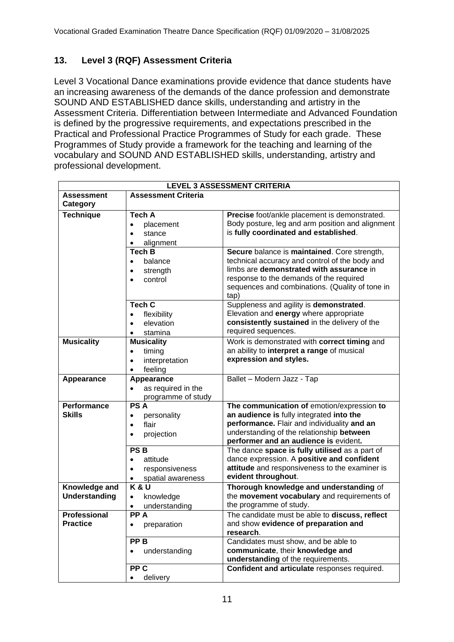## **13. Level 3 (RQF) Assessment Criteria**

Level 3 Vocational Dance examinations provide evidence that dance students have an increasing awareness of the demands of the dance profession and demonstrate SOUND AND ESTABLISHED dance skills, understanding and artistry in the Assessment Criteria. Differentiation between Intermediate and Advanced Foundation is defined by the progressive requirements, and expectations prescribed in the Practical and Professional Practice Programmes of Study for each grade. These Programmes of Study provide a framework for the teaching and learning of the vocabulary and SOUND AND ESTABLISHED skills, understanding, artistry and professional development.

|                                        |                                                                                                      | <b>LEVEL 3 ASSESSMENT CRITERIA</b>                                                                                                                                                                                                               |
|----------------------------------------|------------------------------------------------------------------------------------------------------|--------------------------------------------------------------------------------------------------------------------------------------------------------------------------------------------------------------------------------------------------|
| <b>Assessment</b><br>Category          | <b>Assessment Criteria</b>                                                                           |                                                                                                                                                                                                                                                  |
| <b>Technique</b>                       | Tech A<br>placement<br>$\bullet$<br>stance<br>$\bullet$<br>alignment<br>$\bullet$                    | Precise foot/ankle placement is demonstrated.<br>Body posture, leg and arm position and alignment<br>is fully coordinated and established.                                                                                                       |
|                                        | Tech B<br>balance<br>$\bullet$<br>strength<br>$\bullet$<br>control<br>$\bullet$                      | Secure balance is maintained. Core strength,<br>technical accuracy and control of the body and<br>limbs are demonstrated with assurance in<br>response to the demands of the required<br>sequences and combinations. (Quality of tone in<br>tap) |
|                                        | Tech C<br>flexibility<br>elevation<br>stamina                                                        | Suppleness and agility is demonstrated.<br>Elevation and energy where appropriate<br>consistently sustained in the delivery of the<br>required sequences.                                                                                        |
| <b>Musicality</b>                      | <b>Musicality</b><br>timing<br>$\bullet$<br>interpretation<br>$\bullet$<br>feeling                   | Work is demonstrated with correct timing and<br>an ability to interpret a range of musical<br>expression and styles.                                                                                                                             |
| Appearance                             | Appearance<br>as required in the<br>$\bullet$<br>programme of study                                  | Ballet - Modern Jazz - Tap                                                                                                                                                                                                                       |
| Performance<br><b>Skills</b>           | <b>PSA</b><br>personality<br>flair<br>$\bullet$<br>projection<br>$\bullet$                           | The communication of emotion/expression to<br>an audience is fully integrated into the<br>performance. Flair and individuality and an<br>understanding of the relationship between<br>performer and an audience is evident.                      |
|                                        | <b>PSB</b><br>attitude<br>$\bullet$<br>responsiveness<br>$\bullet$<br>spatial awareness<br>$\bullet$ | The dance space is fully utilised as a part of<br>dance expression. A positive and confident<br>attitude and responsiveness to the examiner is<br>evident throughout.                                                                            |
| Knowledge and<br><b>Understanding</b>  | K&U<br>knowledge<br>$\bullet$<br>understanding                                                       | Thorough knowledge and understanding of<br>the movement vocabulary and requirements of<br>the programme of study.                                                                                                                                |
| <b>Professional</b><br><b>Practice</b> | PP A<br>preparation                                                                                  | The candidate must be able to discuss, reflect<br>and show evidence of preparation and<br>research.                                                                                                                                              |
|                                        | PP <sub>B</sub><br>understanding<br>$\bullet$                                                        | Candidates must show, and be able to<br>communicate, their knowledge and<br>understanding of the requirements.                                                                                                                                   |
|                                        | PP <sub>C</sub><br>delivery<br>$\bullet$                                                             | Confident and articulate responses required.                                                                                                                                                                                                     |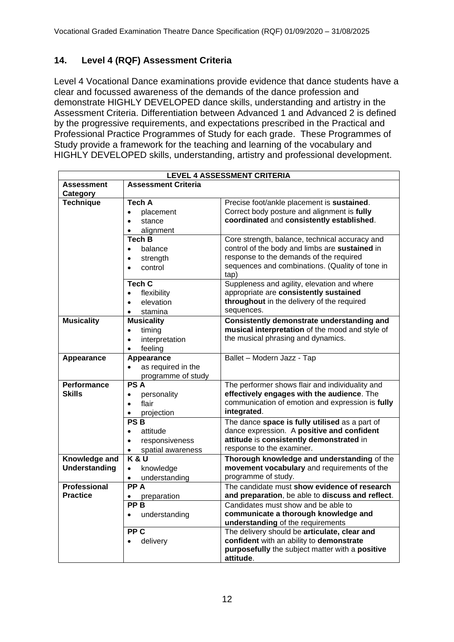## **14. Level 4 (RQF) Assessment Criteria**

Level 4 Vocational Dance examinations provide evidence that dance students have a clear and focussed awareness of the demands of the dance profession and demonstrate HIGHLY DEVELOPED dance skills, understanding and artistry in the Assessment Criteria. Differentiation between Advanced 1 and Advanced 2 is defined by the progressive requirements, and expectations prescribed in the Practical and Professional Practice Programmes of Study for each grade. These Programmes of Study provide a framework for the teaching and learning of the vocabulary and HIGHLY DEVELOPED skills, understanding, artistry and professional development.

|                      |                                 | <b>LEVEL 4 ASSESSMENT CRITERIA</b>               |
|----------------------|---------------------------------|--------------------------------------------------|
| <b>Assessment</b>    | <b>Assessment Criteria</b>      |                                                  |
| <b>Category</b>      |                                 |                                                  |
| <b>Technique</b>     | Tech A                          | Precise foot/ankle placement is sustained.       |
|                      | placement<br>$\bullet$          | Correct body posture and alignment is fully      |
|                      | stance<br>$\bullet$             | coordinated and consistently established.        |
|                      | alignment<br>$\bullet$          |                                                  |
|                      | <b>Tech B</b>                   | Core strength, balance, technical accuracy and   |
|                      | balance<br>$\bullet$            | control of the body and limbs are sustained in   |
|                      | strength<br>$\bullet$           | response to the demands of the required          |
|                      | control<br>$\bullet$            | sequences and combinations. (Quality of tone in  |
|                      |                                 | tap)                                             |
|                      | Tech C                          | Suppleness and agility, elevation and where      |
|                      | flexibility<br>$\bullet$        | appropriate are consistently sustained           |
|                      | elevation<br>$\bullet$          | throughout in the delivery of the required       |
|                      | stamina<br>$\bullet$            | sequences.                                       |
| <b>Musicality</b>    | <b>Musicality</b>               | Consistently demonstrate understanding and       |
|                      | timing<br>$\bullet$             | musical interpretation of the mood and style of  |
|                      | interpretation<br>$\bullet$     | the musical phrasing and dynamics.               |
|                      | feeling<br>$\bullet$            |                                                  |
| Appearance           | Appearance                      | Ballet - Modern Jazz - Tap                       |
|                      | as required in the<br>$\bullet$ |                                                  |
|                      | programme of study              |                                                  |
| <b>Performance</b>   | <b>PSA</b>                      | The performer shows flair and individuality and  |
| <b>Skills</b>        | personality<br>$\bullet$        | effectively engages with the audience. The       |
|                      | flair<br>$\bullet$              | communication of emotion and expression is fully |
|                      | projection<br>$\bullet$         | integrated.                                      |
|                      | PS <sub>B</sub>                 | The dance space is fully utilised as a part of   |
|                      | attitude<br>$\bullet$           | dance expression. A positive and confident       |
|                      | responsiveness<br>$\bullet$     | attitude is consistently demonstrated in         |
|                      | spatial awareness<br>$\bullet$  | response to the examiner.                        |
| Knowledge and        | K & U                           | Thorough knowledge and understanding of the      |
| <b>Understanding</b> | knowledge<br>$\bullet$          | movement vocabulary and requirements of the      |
|                      | understanding<br>$\bullet$      | programme of study.                              |
| <b>Professional</b>  | PP A                            | The candidate must show evidence of research     |
| <b>Practice</b>      | preparation                     | and preparation, be able to discuss and reflect. |
|                      | PP B                            | Candidates must show and be able to              |
|                      | understanding<br>$\bullet$      | communicate a thorough knowledge and             |
|                      |                                 | understanding of the requirements                |
|                      | PP <sub>C</sub>                 | The delivery should be articulate, clear and     |
|                      | delivery<br>$\bullet$           | confident with an ability to demonstrate         |
|                      |                                 | purposefully the subject matter with a positive  |
|                      |                                 | attitude.                                        |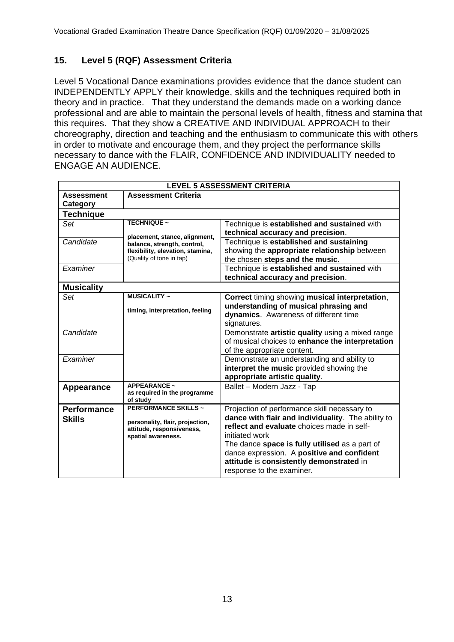## **15. Level 5 (RQF) Assessment Criteria**

Level 5 Vocational Dance examinations provides evidence that the dance student can INDEPENDENTLY APPLY their knowledge, skills and the techniques required both in theory and in practice. That they understand the demands made on a working dance professional and are able to maintain the personal levels of health, fitness and stamina that this requires. That they show a CREATIVE AND INDIVIDUAL APPROACH to their choreography, direction and teaching and the enthusiasm to communicate this with others in order to motivate and encourage them, and they project the performance skills necessary to dance with the FLAIR, CONFIDENCE AND INDIVIDUALITY needed to ENGAGE AN AUDIENCE.

| <b>LEVEL 5 ASSESSMENT CRITERIA</b> |                                                              |                                                    |  |  |  |  |
|------------------------------------|--------------------------------------------------------------|----------------------------------------------------|--|--|--|--|
| <b>Assessment</b>                  | <b>Assessment Criteria</b>                                   |                                                    |  |  |  |  |
| Category                           |                                                              |                                                    |  |  |  |  |
| <b>Technique</b>                   |                                                              |                                                    |  |  |  |  |
| Set                                | <b>TECHNIQUE ~</b>                                           | Technique is established and sustained with        |  |  |  |  |
|                                    | placement, stance, alignment,                                | technical accuracy and precision.                  |  |  |  |  |
| Candidate                          | balance, strength, control,                                  | Technique is established and sustaining            |  |  |  |  |
|                                    | flexibility, elevation, stamina,                             | showing the appropriate relationship between       |  |  |  |  |
|                                    | (Quality of tone in tap)                                     | the chosen steps and the music.                    |  |  |  |  |
| Examiner                           |                                                              | Technique is established and sustained with        |  |  |  |  |
|                                    |                                                              | technical accuracy and precision.                  |  |  |  |  |
| <b>Musicality</b>                  |                                                              |                                                    |  |  |  |  |
| Set                                | <b>MUSICALITY ~</b>                                          | Correct timing showing musical interpretation,     |  |  |  |  |
|                                    | timing, interpretation, feeling                              | understanding of musical phrasing and              |  |  |  |  |
|                                    |                                                              | dynamics. Awareness of different time              |  |  |  |  |
|                                    |                                                              | signatures.                                        |  |  |  |  |
| Candidate                          |                                                              | Demonstrate artistic quality using a mixed range   |  |  |  |  |
|                                    |                                                              | of musical choices to enhance the interpretation   |  |  |  |  |
|                                    |                                                              | of the appropriate content.                        |  |  |  |  |
| Examiner                           |                                                              | Demonstrate an understanding and ability to        |  |  |  |  |
|                                    |                                                              | interpret the music provided showing the           |  |  |  |  |
|                                    |                                                              | appropriate artistic quality.                      |  |  |  |  |
| Appearance                         | <b>APPEARANCE ~</b>                                          | Ballet - Modern Jazz - Tap                         |  |  |  |  |
|                                    | as required in the programme<br>of study                     |                                                    |  |  |  |  |
| <b>Performance</b>                 | <b>PERFORMANCE SKILLS ~</b>                                  | Projection of performance skill necessary to       |  |  |  |  |
| <b>Skills</b>                      |                                                              | dance with flair and individuality. The ability to |  |  |  |  |
|                                    | personality, flair, projection,<br>attitude, responsiveness, | reflect and evaluate choices made in self-         |  |  |  |  |
|                                    | spatial awareness.                                           | initiated work                                     |  |  |  |  |
|                                    |                                                              | The dance space is fully utilised as a part of     |  |  |  |  |
|                                    |                                                              | dance expression. A positive and confident         |  |  |  |  |
|                                    |                                                              | attitude is consistently demonstrated in           |  |  |  |  |
|                                    |                                                              | response to the examiner.                          |  |  |  |  |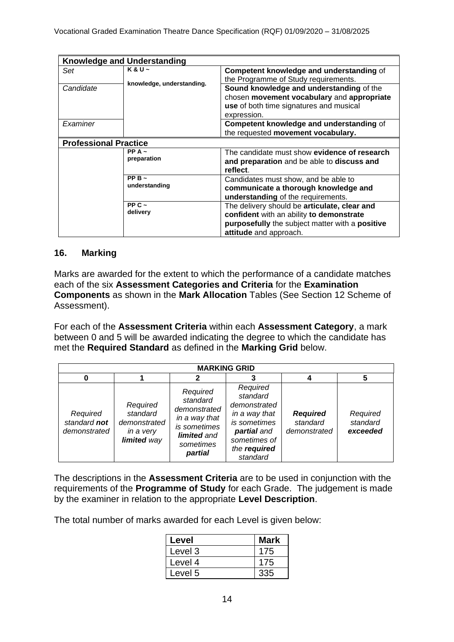| <b>Knowledge and Understanding</b> |                              |                                                                                                                                                                       |  |  |
|------------------------------------|------------------------------|-----------------------------------------------------------------------------------------------------------------------------------------------------------------------|--|--|
| Set                                | $K & U$ ~                    | Competent knowledge and understanding of<br>the Programme of Study requirements.                                                                                      |  |  |
| Candidate                          | knowledge, understanding.    | Sound knowledge and understanding of the<br>chosen movement vocabulary and appropriate<br>use of both time signatures and musical<br>expression.                      |  |  |
| Examiner                           |                              | Competent knowledge and understanding of<br>the requested movement vocabulary.                                                                                        |  |  |
|                                    | <b>Professional Practice</b> |                                                                                                                                                                       |  |  |
|                                    | $PPA -$<br>preparation       | The candidate must show evidence of research<br>and preparation and be able to discuss and<br>reflect.                                                                |  |  |
|                                    | PP B $\sim$<br>understanding | Candidates must show, and be able to<br>communicate a thorough knowledge and<br>understanding of the requirements.                                                    |  |  |
|                                    | PP $C \sim$<br>delivery      | The delivery should be articulate, clear and<br>confident with an ability to demonstrate<br>purposefully the subject matter with a positive<br>attitude and approach. |  |  |

#### **16. Marking**

Marks are awarded for the extent to which the performance of a candidate matches each of the six **Assessment Categories and Criteria** for the **Examination Components** as shown in the **Mark Allocation** Tables (See Section 12 Scheme of Assessment).

For each of the **Assessment Criteria** within each **Assessment Category**, a mark between 0 and 5 will be awarded indicating the degree to which the candidate has met the **Required Standard** as defined in the **Marking Grid** below.

| <b>MARKING GRID</b>                      |                                                                  |                                                                                                                     |                                                                                                                                  |                                             |                                  |
|------------------------------------------|------------------------------------------------------------------|---------------------------------------------------------------------------------------------------------------------|----------------------------------------------------------------------------------------------------------------------------------|---------------------------------------------|----------------------------------|
| 0                                        |                                                                  |                                                                                                                     |                                                                                                                                  |                                             | 5                                |
| Required<br>standard not<br>demonstrated | Required<br>standard<br>demonstrated<br>in a very<br>limited way | Required<br>standard<br>demonstrated<br>in a way that<br>is sometimes<br><b>limited</b> and<br>sometimes<br>partial | Required<br>standard<br>demonstrated<br>in a way that<br>is sometimes<br>partial and<br>sometimes of<br>the required<br>standard | <b>Required</b><br>standard<br>demonstrated | Required<br>standard<br>exceeded |

The descriptions in the **Assessment Criteria** are to be used in conjunction with the requirements of the **Programme of Study** for each Grade. The judgement is made by the examiner in relation to the appropriate **Level Description**.

The total number of marks awarded for each Level is given below:

| Level   | <b>Mark</b> |
|---------|-------------|
| Level 3 | 175         |
| Level 4 | 175         |
| Level 5 | 335         |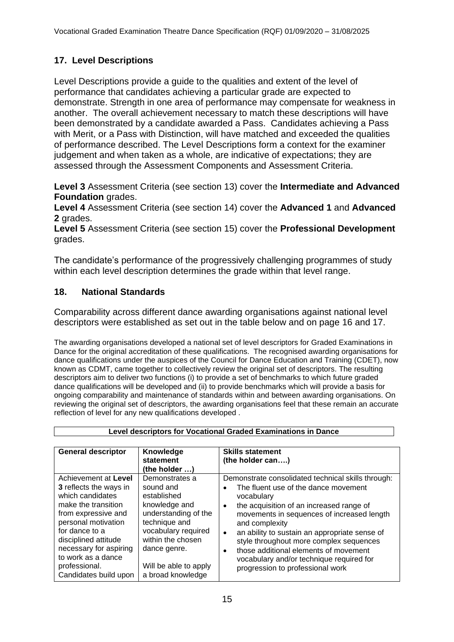## **17. Level Descriptions**

Level Descriptions provide a guide to the qualities and extent of the level of performance that candidates achieving a particular grade are expected to demonstrate. Strength in one area of performance may compensate for weakness in another. The overall achievement necessary to match these descriptions will have been demonstrated by a candidate awarded a Pass. Candidates achieving a Pass with Merit, or a Pass with Distinction, will have matched and exceeded the qualities of performance described. The Level Descriptions form a context for the examiner judgement and when taken as a whole, are indicative of expectations; they are assessed through the Assessment Components and Assessment Criteria.

**Level 3** Assessment Criteria (see section 13) cover the **Intermediate and Advanced Foundation** grades.

**Level 4** Assessment Criteria (see section 14) cover the **Advanced 1** and **Advanced 2** grades.

**Level 5** Assessment Criteria (see section 15) cover the **Professional Development**  grades.

The candidate's performance of the progressively challenging programmes of study within each level description determines the grade within that level range.

## **18. National Standards**

Comparability across different dance awarding organisations against national level descriptors were established as set out in the table below and on page 16 and 17.

The awarding organisations developed a national set of level descriptors for Graded Examinations in Dance for the original accreditation of these qualifications. The recognised awarding organisations for dance qualifications under the auspices of the Council for Dance Education and Training (CDET), now known as CDMT, came together to collectively review the original set of descriptors. The resulting descriptors aim to deliver two functions (i) to provide a set of benchmarks to which future graded dance qualifications will be developed and (ii) to provide benchmarks which will provide a basis for ongoing comparability and maintenance of standards within and between awarding organisations. On reviewing the original set of descriptors, the awarding organisations feel that these remain an accurate reflection of level for any new qualifications developed .

| <b>General descriptor</b>                                                                                                                                                                                                                                                          | Knowledge<br>statement<br>(the holder )                                                                                                                                                                        | <b>Skills statement</b><br>(the holder can)                                                                                                                                                                                                                                                                                                                                                                                               |
|------------------------------------------------------------------------------------------------------------------------------------------------------------------------------------------------------------------------------------------------------------------------------------|----------------------------------------------------------------------------------------------------------------------------------------------------------------------------------------------------------------|-------------------------------------------------------------------------------------------------------------------------------------------------------------------------------------------------------------------------------------------------------------------------------------------------------------------------------------------------------------------------------------------------------------------------------------------|
| Achievement at Level<br><b>3</b> reflects the ways in<br>which candidates<br>make the transition<br>from expressive and<br>personal motivation<br>for dance to a<br>disciplined attitude<br>necessary for aspiring<br>to work as a dance<br>professional.<br>Candidates build upon | Demonstrates a<br>sound and<br>established<br>knowledge and<br>understanding of the<br>technique and<br>vocabulary required<br>within the chosen<br>dance genre.<br>Will be able to apply<br>a broad knowledge | Demonstrate consolidated technical skills through:<br>The fluent use of the dance movement<br>vocabulary<br>the acquisition of an increased range of<br>movements in sequences of increased length<br>and complexity<br>an ability to sustain an appropriate sense of<br>style throughout more complex sequences<br>those additional elements of movement<br>vocabulary and/or technique required for<br>progression to professional work |

**Level descriptors for Vocational Graded Examinations in Dance**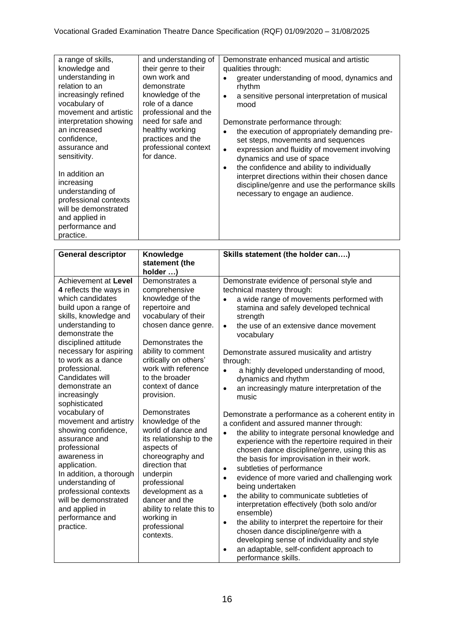| a range of skills,<br>knowledge and<br>understanding in<br>relation to an<br>increasingly refined<br>vocabulary of<br>movement and artistic<br>interpretation showing<br>an increased<br>confidence,<br>assurance and<br>sensitivity.<br>In addition an<br>increasing<br>understanding of<br>professional contexts<br>will be demonstrated<br>and applied in<br>performance and<br>practice. | and understanding of<br>their genre to their<br>own work and<br>demonstrate<br>knowledge of the<br>role of a dance<br>professional and the<br>need for safe and<br>healthy working<br>practices and the<br>professional context<br>for dance. | Demonstrate enhanced musical and artistic<br>qualities through:<br>greater understanding of mood, dynamics and<br>rhythm<br>a sensitive personal interpretation of musical<br>mood<br>Demonstrate performance through:<br>the execution of appropriately demanding pre-<br>set steps, movements and sequences<br>expression and fluidity of movement involving<br>$\bullet$<br>dynamics and use of space<br>the confidence and ability to individually<br>$\bullet$<br>interpret directions within their chosen dance<br>discipline/genre and use the performance skills<br>necessary to engage an audience. |
|----------------------------------------------------------------------------------------------------------------------------------------------------------------------------------------------------------------------------------------------------------------------------------------------------------------------------------------------------------------------------------------------|-----------------------------------------------------------------------------------------------------------------------------------------------------------------------------------------------------------------------------------------------|--------------------------------------------------------------------------------------------------------------------------------------------------------------------------------------------------------------------------------------------------------------------------------------------------------------------------------------------------------------------------------------------------------------------------------------------------------------------------------------------------------------------------------------------------------------------------------------------------------------|
|----------------------------------------------------------------------------------------------------------------------------------------------------------------------------------------------------------------------------------------------------------------------------------------------------------------------------------------------------------------------------------------------|-----------------------------------------------------------------------------------------------------------------------------------------------------------------------------------------------------------------------------------------------|--------------------------------------------------------------------------------------------------------------------------------------------------------------------------------------------------------------------------------------------------------------------------------------------------------------------------------------------------------------------------------------------------------------------------------------------------------------------------------------------------------------------------------------------------------------------------------------------------------------|

| <b>General descriptor</b>        | Knowledge                             | Skills statement (the holder can)                                                            |  |  |
|----------------------------------|---------------------------------------|----------------------------------------------------------------------------------------------|--|--|
|                                  | statement (the                        |                                                                                              |  |  |
|                                  | holder )                              |                                                                                              |  |  |
| Achievement at Level             | Demonstrates a                        | Demonstrate evidence of personal style and                                                   |  |  |
| 4 reflects the ways in           | comprehensive                         | technical mastery through:                                                                   |  |  |
| which candidates                 | knowledge of the                      | a wide range of movements performed with<br>$\bullet$                                        |  |  |
| build upon a range of            | repertoire and                        | stamina and safely developed technical                                                       |  |  |
| skills, knowledge and            | vocabulary of their                   | strength                                                                                     |  |  |
| understanding to                 | chosen dance genre.                   | the use of an extensive dance movement<br>$\bullet$                                          |  |  |
| demonstrate the                  |                                       | vocabulary                                                                                   |  |  |
| disciplined attitude             | Demonstrates the                      |                                                                                              |  |  |
| necessary for aspiring           | ability to comment                    | Demonstrate assured musicality and artistry                                                  |  |  |
| to work as a dance               | critically on others'                 | through:                                                                                     |  |  |
| professional.<br>Candidates will | work with reference<br>to the broader | a highly developed understanding of mood,<br>$\bullet$                                       |  |  |
| demonstrate an                   | context of dance                      | dynamics and rhythm                                                                          |  |  |
| increasingly                     | provision.                            | an increasingly mature interpretation of the<br>$\bullet$                                    |  |  |
| sophisticated                    |                                       | music                                                                                        |  |  |
| vocabulary of                    | Demonstrates                          |                                                                                              |  |  |
| movement and artistry            | knowledge of the                      | Demonstrate a performance as a coherent entity in<br>a confident and assured manner through: |  |  |
| showing confidence,              | world of dance and                    | the ability to integrate personal knowledge and<br>$\bullet$                                 |  |  |
| assurance and                    | its relationship to the               | experience with the repertoire required in their                                             |  |  |
| professional                     | aspects of                            | chosen dance discipline/genre, using this as                                                 |  |  |
| awareness in                     | choreography and                      | the basis for improvisation in their work.                                                   |  |  |
| application.                     | direction that                        | subtleties of performance<br>$\bullet$                                                       |  |  |
| In addition, a thorough          | underpin                              | evidence of more varied and challenging work<br>$\bullet$                                    |  |  |
| understanding of                 | professional                          | being undertaken                                                                             |  |  |
| professional contexts            | development as a                      | the ability to communicate subtleties of<br>$\bullet$                                        |  |  |
| will be demonstrated             | dancer and the                        | interpretation effectively (both solo and/or                                                 |  |  |
| and applied in                   | ability to relate this to             | ensemble)                                                                                    |  |  |
| performance and                  | working in                            | the ability to interpret the repertoire for their<br>$\bullet$                               |  |  |
| practice.                        | professional                          | chosen dance discipline/genre with a                                                         |  |  |
|                                  | contexts.                             | developing sense of individuality and style                                                  |  |  |
|                                  |                                       | an adaptable, self-confident approach to<br>$\bullet$                                        |  |  |
|                                  |                                       | performance skills.                                                                          |  |  |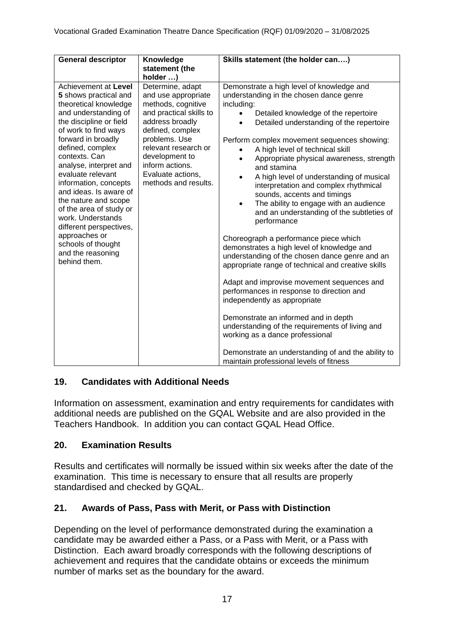| <b>General descriptor</b>                                                                                                                                                                                                                                                                                                                                                                                                                                                                     | Knowledge<br>statement (the                                                                                                                                                                                                                                            | Skills statement (the holder can)                                                                                                                                                                                                                                                                                                                                                                                                                                                                                                                                                                                                                                                                                                                                                                                                                                                                                                                                                                                                                                                                                                   |
|-----------------------------------------------------------------------------------------------------------------------------------------------------------------------------------------------------------------------------------------------------------------------------------------------------------------------------------------------------------------------------------------------------------------------------------------------------------------------------------------------|------------------------------------------------------------------------------------------------------------------------------------------------------------------------------------------------------------------------------------------------------------------------|-------------------------------------------------------------------------------------------------------------------------------------------------------------------------------------------------------------------------------------------------------------------------------------------------------------------------------------------------------------------------------------------------------------------------------------------------------------------------------------------------------------------------------------------------------------------------------------------------------------------------------------------------------------------------------------------------------------------------------------------------------------------------------------------------------------------------------------------------------------------------------------------------------------------------------------------------------------------------------------------------------------------------------------------------------------------------------------------------------------------------------------|
| Achievement at Level<br>5 shows practical and<br>theoretical knowledge<br>and understanding of<br>the discipline or field<br>of work to find ways<br>forward in broadly<br>defined, complex<br>contexts. Can<br>analyse, interpret and<br>evaluate relevant<br>information, concepts<br>and ideas. Is aware of<br>the nature and scope<br>of the area of study or<br>work. Understands<br>different perspectives,<br>approaches or<br>schools of thought<br>and the reasoning<br>behind them. | holder )<br>Determine, adapt<br>and use appropriate<br>methods, cognitive<br>and practical skills to<br>address broadly<br>defined, complex<br>problems. Use<br>relevant research or<br>development to<br>inform actions.<br>Evaluate actions,<br>methods and results. | Demonstrate a high level of knowledge and<br>understanding in the chosen dance genre<br>including:<br>Detailed knowledge of the repertoire<br>Detailed understanding of the repertoire<br>Perform complex movement sequences showing:<br>A high level of technical skill<br>Appropriate physical awareness, strength<br>$\bullet$<br>and stamina<br>A high level of understanding of musical<br>interpretation and complex rhythmical<br>sounds, accents and timings<br>The ability to engage with an audience<br>and an understanding of the subtleties of<br>performance<br>Choreograph a performance piece which<br>demonstrates a high level of knowledge and<br>understanding of the chosen dance genre and an<br>appropriate range of technical and creative skills<br>Adapt and improvise movement sequences and<br>performances in response to direction and<br>independently as appropriate<br>Demonstrate an informed and in depth<br>understanding of the requirements of living and<br>working as a dance professional<br>Demonstrate an understanding of and the ability to<br>maintain professional levels of fitness |

## **19. Candidates with Additional Needs**

Information on assessment, examination and entry requirements for candidates with additional needs are published on the GQAL Website and are also provided in the Teachers Handbook. In addition you can contact GQAL Head Office.

## **20. Examination Results**

Results and certificates will normally be issued within six weeks after the date of the examination. This time is necessary to ensure that all results are properly standardised and checked by GQAL.

## **21. Awards of Pass, Pass with Merit, or Pass with Distinction**

Depending on the level of performance demonstrated during the examination a candidate may be awarded either a Pass, or a Pass with Merit, or a Pass with Distinction. Each award broadly corresponds with the following descriptions of achievement and requires that the candidate obtains or exceeds the minimum number of marks set as the boundary for the award.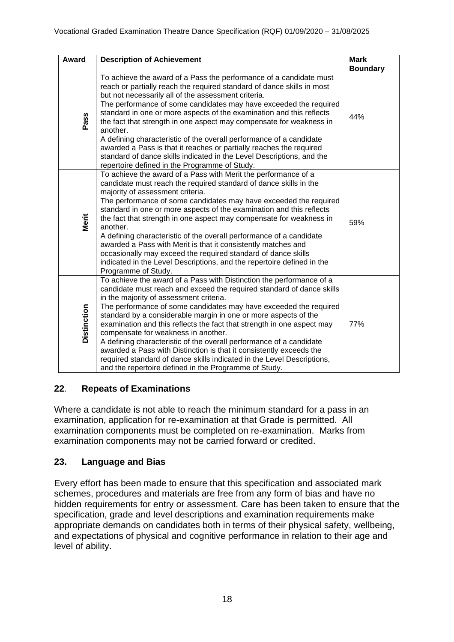| Award              | <b>Description of Achievement</b>                                                                                                                                                                                                                                                                                                                                                                                                                                                                                                                                                                                                                                                                                                  | <b>Mark</b>     |
|--------------------|------------------------------------------------------------------------------------------------------------------------------------------------------------------------------------------------------------------------------------------------------------------------------------------------------------------------------------------------------------------------------------------------------------------------------------------------------------------------------------------------------------------------------------------------------------------------------------------------------------------------------------------------------------------------------------------------------------------------------------|-----------------|
|                    |                                                                                                                                                                                                                                                                                                                                                                                                                                                                                                                                                                                                                                                                                                                                    | <b>Boundary</b> |
| Pass               | To achieve the award of a Pass the performance of a candidate must<br>reach or partially reach the required standard of dance skills in most<br>but not necessarily all of the assessment criteria.<br>The performance of some candidates may have exceeded the required<br>standard in one or more aspects of the examination and this reflects<br>the fact that strength in one aspect may compensate for weakness in<br>another.<br>A defining characteristic of the overall performance of a candidate<br>awarded a Pass is that it reaches or partially reaches the required<br>standard of dance skills indicated in the Level Descriptions, and the<br>repertoire defined in the Programme of Study.                        | 44%             |
| Merit              | To achieve the award of a Pass with Merit the performance of a<br>candidate must reach the required standard of dance skills in the<br>majority of assessment criteria.<br>The performance of some candidates may have exceeded the required<br>standard in one or more aspects of the examination and this reflects<br>the fact that strength in one aspect may compensate for weakness in<br>another.<br>A defining characteristic of the overall performance of a candidate<br>awarded a Pass with Merit is that it consistently matches and<br>occasionally may exceed the required standard of dance skills<br>indicated in the Level Descriptions, and the repertoire defined in the<br>Programme of Study.                  | 59%             |
| <b>Distinction</b> | To achieve the award of a Pass with Distinction the performance of a<br>candidate must reach and exceed the required standard of dance skills<br>in the majority of assessment criteria.<br>The performance of some candidates may have exceeded the required<br>standard by a considerable margin in one or more aspects of the<br>examination and this reflects the fact that strength in one aspect may<br>compensate for weakness in another.<br>A defining characteristic of the overall performance of a candidate<br>awarded a Pass with Distinction is that it consistently exceeds the<br>required standard of dance skills indicated in the Level Descriptions,<br>and the repertoire defined in the Programme of Study. | 77%             |

#### **22***.* **Repeats of Examinations**

Where a candidate is not able to reach the minimum standard for a pass in an examination, application for re-examination at that Grade is permitted. All examination components must be completed on re-examination. Marks from examination components may not be carried forward or credited.

#### **23. Language and Bias**

Every effort has been made to ensure that this specification and associated mark schemes, procedures and materials are free from any form of bias and have no hidden requirements for entry or assessment. Care has been taken to ensure that the specification, grade and level descriptions and examination requirements make appropriate demands on candidates both in terms of their physical safety, wellbeing, and expectations of physical and cognitive performance in relation to their age and level of ability.